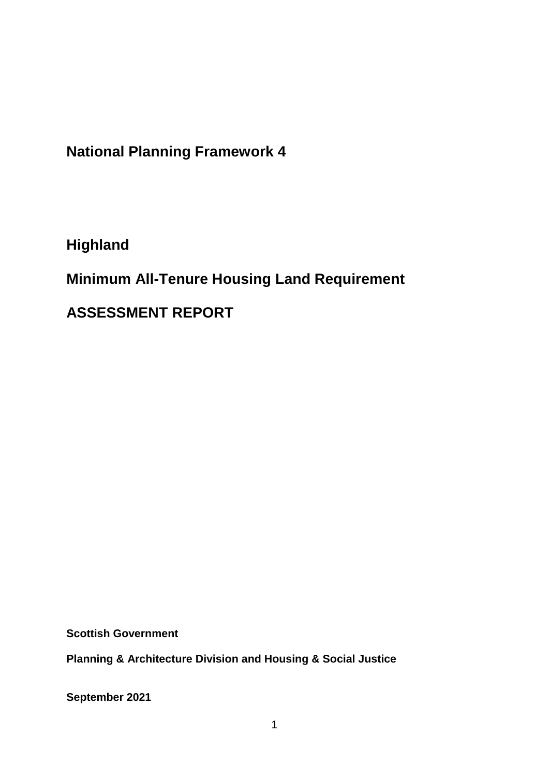**National Planning Framework 4**

**Highland**

**Minimum All-Tenure Housing Land Requirement** 

**ASSESSMENT REPORT**

**Scottish Government**

**Planning & Architecture Division and Housing & Social Justice** 

**September 2021**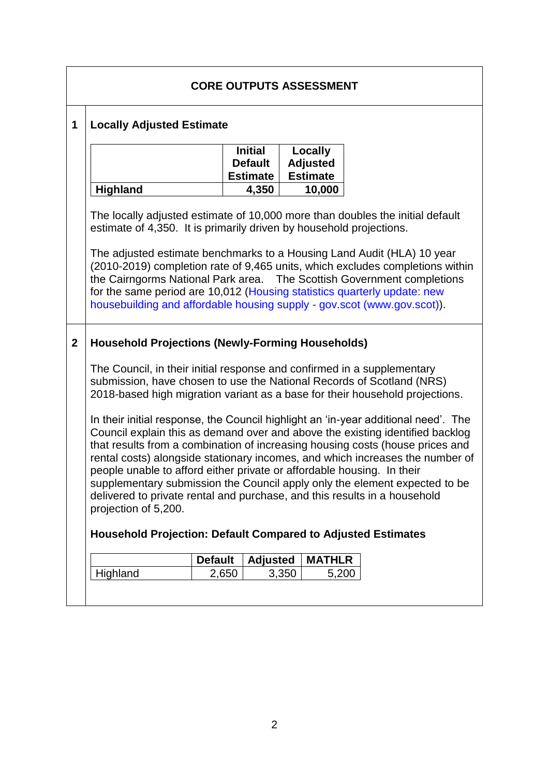|             | <b>CORE OUTPUTS ASSESSMENT</b>                                                                                                                                                                                                                                                                                                                                                                                                                                                                                                                                                                     |                |                                                     |       |                                               |                                                                                                                                                       |  |  |  |
|-------------|----------------------------------------------------------------------------------------------------------------------------------------------------------------------------------------------------------------------------------------------------------------------------------------------------------------------------------------------------------------------------------------------------------------------------------------------------------------------------------------------------------------------------------------------------------------------------------------------------|----------------|-----------------------------------------------------|-------|-----------------------------------------------|-------------------------------------------------------------------------------------------------------------------------------------------------------|--|--|--|
| 1           | <b>Locally Adjusted Estimate</b>                                                                                                                                                                                                                                                                                                                                                                                                                                                                                                                                                                   |                |                                                     |       |                                               |                                                                                                                                                       |  |  |  |
|             |                                                                                                                                                                                                                                                                                                                                                                                                                                                                                                                                                                                                    |                | <b>Initial</b><br><b>Default</b><br><b>Estimate</b> |       | Locally<br><b>Adjusted</b><br><b>Estimate</b> |                                                                                                                                                       |  |  |  |
|             | <b>Highland</b>                                                                                                                                                                                                                                                                                                                                                                                                                                                                                                                                                                                    |                | 4,350                                               |       | 10,000                                        |                                                                                                                                                       |  |  |  |
|             | The locally adjusted estimate of 10,000 more than doubles the initial default<br>estimate of 4,350. It is primarily driven by household projections.<br>The adjusted estimate benchmarks to a Housing Land Audit (HLA) 10 year<br>(2010-2019) completion rate of 9,465 units, which excludes completions within<br>the Cairngorms National Park area.  The Scottish Government completions<br>for the same period are 10,012 (Housing statistics quarterly update: new<br>housebuilding and affordable housing supply - gov.scot (www.gov.scot)).                                                  |                |                                                     |       |                                               |                                                                                                                                                       |  |  |  |
|             |                                                                                                                                                                                                                                                                                                                                                                                                                                                                                                                                                                                                    |                |                                                     |       |                                               |                                                                                                                                                       |  |  |  |
| $\mathbf 2$ | <b>Household Projections (Newly-Forming Households)</b>                                                                                                                                                                                                                                                                                                                                                                                                                                                                                                                                            |                |                                                     |       |                                               |                                                                                                                                                       |  |  |  |
|             | The Council, in their initial response and confirmed in a supplementary                                                                                                                                                                                                                                                                                                                                                                                                                                                                                                                            |                |                                                     |       |                                               | submission, have chosen to use the National Records of Scotland (NRS)<br>2018-based high migration variant as a base for their household projections. |  |  |  |
|             | In their initial response, the Council highlight an 'in-year additional need'. The<br>Council explain this as demand over and above the existing identified backlog<br>that results from a combination of increasing housing costs (house prices and<br>rental costs) alongside stationary incomes, and which increases the number of<br>people unable to afford either private or affordable housing. In their<br>supplementary submission the Council apply only the element expected to be<br>delivered to private rental and purchase, and this results in a household<br>projection of 5,200. |                |                                                     |       |                                               |                                                                                                                                                       |  |  |  |
|             | <b>Household Projection: Default Compared to Adjusted Estimates</b>                                                                                                                                                                                                                                                                                                                                                                                                                                                                                                                                |                |                                                     |       |                                               |                                                                                                                                                       |  |  |  |
|             |                                                                                                                                                                                                                                                                                                                                                                                                                                                                                                                                                                                                    | <b>Default</b> | <b>Adjusted</b>                                     |       | <b>MATHLR</b>                                 |                                                                                                                                                       |  |  |  |
|             | Highland                                                                                                                                                                                                                                                                                                                                                                                                                                                                                                                                                                                           | 2,650          |                                                     | 3,350 | 5,200                                         |                                                                                                                                                       |  |  |  |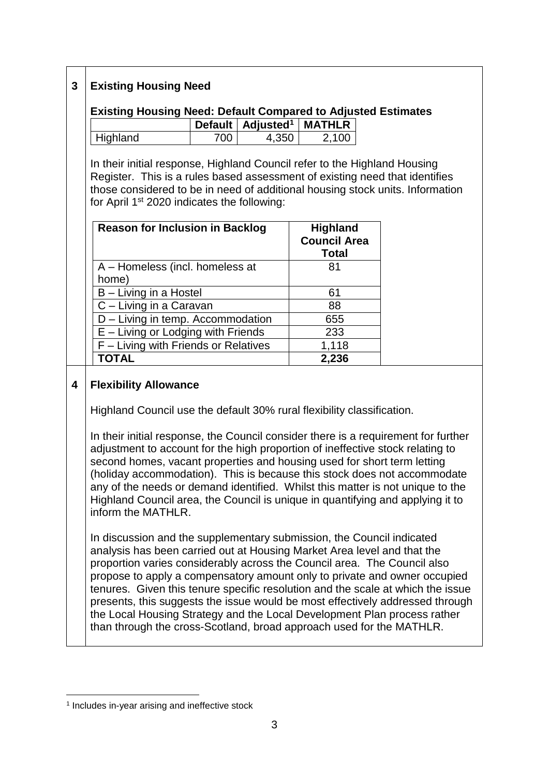## **3 Existing Housing Need**

# **Existing Housing Need: Default Compared to Adjusted Estimates**

|          |     | Default   Adjusted <sup>1</sup>   MATHLR |       |
|----------|-----|------------------------------------------|-------|
| Highland | 700 | 4.350                                    | 2.100 |

In their initial response, Highland Council refer to the Highland Housing Register. This is a rules based assessment of existing need that identifies those considered to be in need of additional housing stock units. Information for April 1st 2020 indicates the following:

| <b>Reason for Inclusion in Backlog</b> | <b>Highland</b><br><b>Council Area</b><br><b>Total</b> |
|----------------------------------------|--------------------------------------------------------|
| A - Homeless (incl. homeless at        | 81                                                     |
| home)                                  |                                                        |
| B - Living in a Hostel                 | 61                                                     |
| C - Living in a Caravan                | 88                                                     |
| D - Living in temp. Accommodation      | 655                                                    |
| $E -$ Living or Lodging with Friends   | 233                                                    |
| F - Living with Friends or Relatives   | 1,118                                                  |
| <b>TOTAL</b>                           | 2,236                                                  |

#### **4 Flexibility Allowance**

Highland Council use the default 30% rural flexibility classification.

In their initial response, the Council consider there is a requirement for further adjustment to account for the high proportion of ineffective stock relating to second homes, vacant properties and housing used for short term letting (holiday accommodation). This is because this stock does not accommodate any of the needs or demand identified. Whilst this matter is not unique to the Highland Council area, the Council is unique in quantifying and applying it to inform the MATHLR.

In discussion and the supplementary submission, the Council indicated analysis has been carried out at Housing Market Area level and that the proportion varies considerably across the Council area. The Council also propose to apply a compensatory amount only to private and owner occupied tenures. Given this tenure specific resolution and the scale at which the issue presents, this suggests the issue would be most effectively addressed through the Local Housing Strategy and the Local Development Plan process rather than through the cross-Scotland, broad approach used for the MATHLR.

<sup>1</sup> <sup>1</sup> Includes in-year arising and ineffective stock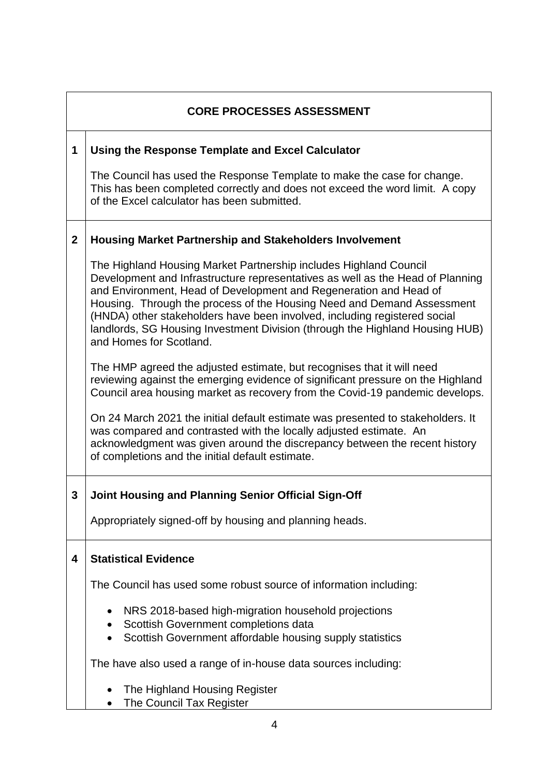|              | <b>CORE PROCESSES ASSESSMENT</b>                                                                                                                                                                                                                                                                                                                                                                                                                                                           |  |  |  |  |  |  |
|--------------|--------------------------------------------------------------------------------------------------------------------------------------------------------------------------------------------------------------------------------------------------------------------------------------------------------------------------------------------------------------------------------------------------------------------------------------------------------------------------------------------|--|--|--|--|--|--|
| 1            | Using the Response Template and Excel Calculator                                                                                                                                                                                                                                                                                                                                                                                                                                           |  |  |  |  |  |  |
|              | The Council has used the Response Template to make the case for change.<br>This has been completed correctly and does not exceed the word limit. A copy<br>of the Excel calculator has been submitted.                                                                                                                                                                                                                                                                                     |  |  |  |  |  |  |
| $\mathbf{2}$ | <b>Housing Market Partnership and Stakeholders Involvement</b>                                                                                                                                                                                                                                                                                                                                                                                                                             |  |  |  |  |  |  |
|              | The Highland Housing Market Partnership includes Highland Council<br>Development and Infrastructure representatives as well as the Head of Planning<br>and Environment, Head of Development and Regeneration and Head of<br>Housing. Through the process of the Housing Need and Demand Assessment<br>(HNDA) other stakeholders have been involved, including registered social<br>landlords, SG Housing Investment Division (through the Highland Housing HUB)<br>and Homes for Scotland. |  |  |  |  |  |  |
|              | The HMP agreed the adjusted estimate, but recognises that it will need<br>reviewing against the emerging evidence of significant pressure on the Highland<br>Council area housing market as recovery from the Covid-19 pandemic develops.                                                                                                                                                                                                                                                  |  |  |  |  |  |  |
|              | On 24 March 2021 the initial default estimate was presented to stakeholders. It<br>was compared and contrasted with the locally adjusted estimate. An<br>acknowledgment was given around the discrepancy between the recent history<br>of completions and the initial default estimate.                                                                                                                                                                                                    |  |  |  |  |  |  |
| 3            | <b>Joint Housing and Planning Senior Official Sign-Off</b>                                                                                                                                                                                                                                                                                                                                                                                                                                 |  |  |  |  |  |  |
|              | Appropriately signed-off by housing and planning heads.                                                                                                                                                                                                                                                                                                                                                                                                                                    |  |  |  |  |  |  |
| 4            | <b>Statistical Evidence</b>                                                                                                                                                                                                                                                                                                                                                                                                                                                                |  |  |  |  |  |  |
|              | The Council has used some robust source of information including:                                                                                                                                                                                                                                                                                                                                                                                                                          |  |  |  |  |  |  |
|              | NRS 2018-based high-migration household projections<br>Scottish Government completions data<br>Scottish Government affordable housing supply statistics                                                                                                                                                                                                                                                                                                                                    |  |  |  |  |  |  |
|              | The have also used a range of in-house data sources including:                                                                                                                                                                                                                                                                                                                                                                                                                             |  |  |  |  |  |  |
|              | The Highland Housing Register<br>The Council Tax Register                                                                                                                                                                                                                                                                                                                                                                                                                                  |  |  |  |  |  |  |